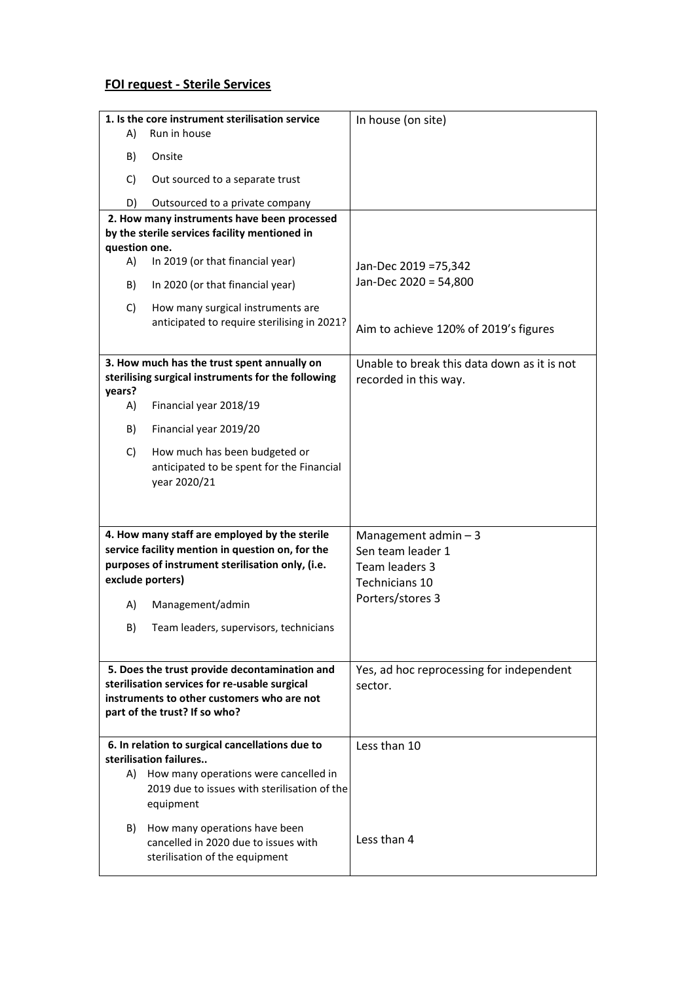## **FOI request - Sterile Services**

| 1. Is the core instrument sterilisation service<br>Run in house<br>A)                                                                                                         |                                                                                                         | In house (on site)                                                   |
|-------------------------------------------------------------------------------------------------------------------------------------------------------------------------------|---------------------------------------------------------------------------------------------------------|----------------------------------------------------------------------|
| B)                                                                                                                                                                            | Onsite                                                                                                  |                                                                      |
| C)                                                                                                                                                                            | Out sourced to a separate trust                                                                         |                                                                      |
|                                                                                                                                                                               |                                                                                                         |                                                                      |
| D)                                                                                                                                                                            | Outsourced to a private company<br>2. How many instruments have been processed                          |                                                                      |
|                                                                                                                                                                               | by the sterile services facility mentioned in                                                           |                                                                      |
| question one.                                                                                                                                                                 |                                                                                                         |                                                                      |
| A)                                                                                                                                                                            | In 2019 (or that financial year)                                                                        | Jan-Dec 2019 = 75,342                                                |
| B)                                                                                                                                                                            | In 2020 (or that financial year)                                                                        | Jan-Dec 2020 = 54,800                                                |
| C)                                                                                                                                                                            | How many surgical instruments are<br>anticipated to require sterilising in 2021?                        | Aim to achieve 120% of 2019's figures                                |
| 3. How much has the trust spent annually on<br>sterilising surgical instruments for the following<br>years?                                                                   |                                                                                                         | Unable to break this data down as it is not<br>recorded in this way. |
| A)                                                                                                                                                                            | Financial year 2018/19                                                                                  |                                                                      |
| B)                                                                                                                                                                            | Financial year 2019/20                                                                                  |                                                                      |
| C)                                                                                                                                                                            | How much has been budgeted or<br>anticipated to be spent for the Financial<br>year 2020/21              |                                                                      |
|                                                                                                                                                                               | 4. How many staff are employed by the sterile                                                           | Management admin $-3$                                                |
|                                                                                                                                                                               | service facility mention in question on, for the                                                        | Sen team leader 1                                                    |
|                                                                                                                                                                               | purposes of instrument sterilisation only, (i.e.                                                        | Team leaders 3                                                       |
|                                                                                                                                                                               | exclude porters)                                                                                        | Technicians 10                                                       |
| A)                                                                                                                                                                            | Management/admin                                                                                        | Porters/stores 3                                                     |
| B)                                                                                                                                                                            | Team leaders, supervisors, technicians                                                                  |                                                                      |
| 5. Does the trust provide decontamination and<br>sterilisation services for re-usable surgical<br>instruments to other customers who are not<br>part of the trust? If so who? |                                                                                                         | Yes, ad hoc reprocessing for independent<br>sector.                  |
| 6. In relation to surgical cancellations due to                                                                                                                               |                                                                                                         | Less than 10                                                         |
|                                                                                                                                                                               | sterilisation failures                                                                                  |                                                                      |
| A)                                                                                                                                                                            | How many operations were cancelled in<br>2019 due to issues with sterilisation of the<br>equipment      |                                                                      |
| B).                                                                                                                                                                           | How many operations have been<br>cancelled in 2020 due to issues with<br>sterilisation of the equipment | Less than 4                                                          |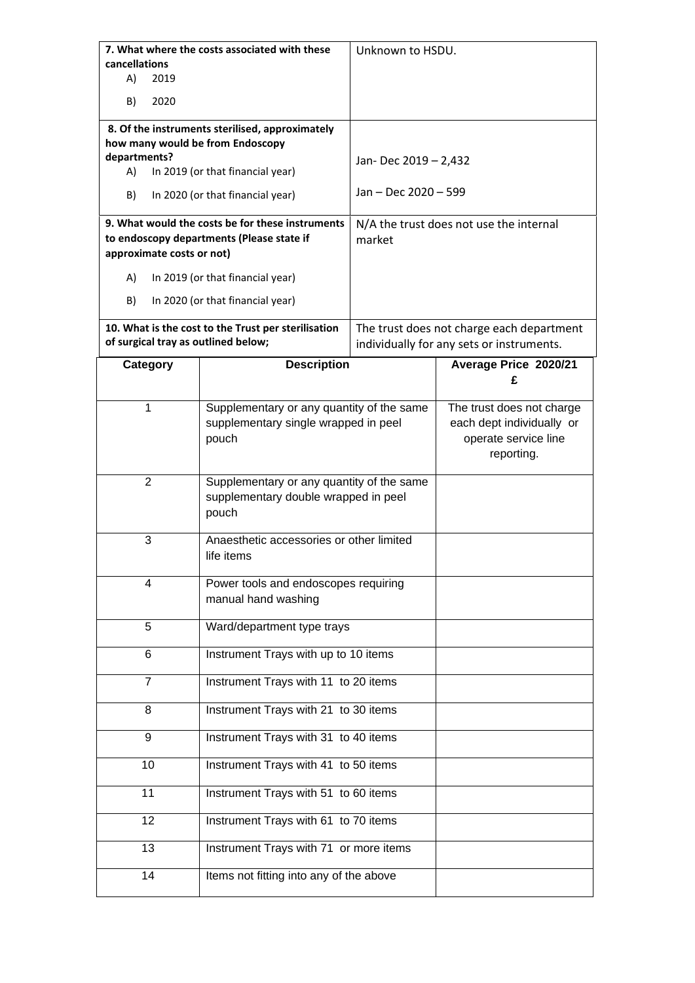| cancellations<br>A)<br>2019               | 7. What where the costs associated with these                                              | Unknown to HSDU.     |                                                                                              |
|-------------------------------------------|--------------------------------------------------------------------------------------------|----------------------|----------------------------------------------------------------------------------------------|
| 2020<br>B)                                |                                                                                            |                      |                                                                                              |
|                                           | 8. Of the instruments sterilised, approximately                                            |                      |                                                                                              |
| departments?                              | how many would be from Endoscopy                                                           |                      |                                                                                              |
| A)                                        | In 2019 (or that financial year)                                                           | Jan-Dec 2019 - 2,432 |                                                                                              |
| B)                                        | In 2020 (or that financial year)                                                           | Jan - Dec 2020 - 599 |                                                                                              |
|                                           | 9. What would the costs be for these instruments                                           |                      | N/A the trust does not use the internal                                                      |
| approximate costs or not)                 | to endoscopy departments (Please state if                                                  | market               |                                                                                              |
|                                           |                                                                                            |                      |                                                                                              |
| A)                                        | In 2019 (or that financial year)                                                           |                      |                                                                                              |
| B)                                        | In 2020 (or that financial year)                                                           |                      |                                                                                              |
| of surgical tray as outlined below;       | 10. What is the cost to the Trust per sterilisation                                        |                      | The trust does not charge each department<br>individually for any sets or instruments.       |
| <b>Category</b>                           | <b>Description</b>                                                                         |                      | Average Price 2020/21                                                                        |
|                                           |                                                                                            |                      | £                                                                                            |
| $\mathbf{1}$                              | Supplementary or any quantity of the same<br>supplementary single wrapped in peel<br>pouch |                      | The trust does not charge<br>each dept individually or<br>operate service line<br>reporting. |
| $\overline{2}$                            | Supplementary or any quantity of the same<br>supplementary double wrapped in peel<br>pouch |                      |                                                                                              |
| 3                                         | Anaesthetic accessories or other limited<br>life items                                     |                      |                                                                                              |
| 4                                         | Power tools and endoscopes requiring<br>manual hand washing                                |                      |                                                                                              |
| 5                                         | Ward/department type trays                                                                 |                      |                                                                                              |
| Instrument Trays with up to 10 items<br>6 |                                                                                            |                      |                                                                                              |
| $\overline{7}$                            | Instrument Trays with 11 to 20 items                                                       |                      |                                                                                              |
| 8                                         | Instrument Trays with 21 to 30 items                                                       |                      |                                                                                              |
| 9                                         | Instrument Trays with 31 to 40 items                                                       |                      |                                                                                              |
| 10                                        | Instrument Trays with 41 to 50 items                                                       |                      |                                                                                              |
| 11                                        | Instrument Trays with 51 to 60 items                                                       |                      |                                                                                              |
| 12                                        | Instrument Trays with 61 to 70 items                                                       |                      |                                                                                              |
| 13                                        | Instrument Trays with 71 or more items                                                     |                      |                                                                                              |
| 14                                        | Items not fitting into any of the above                                                    |                      |                                                                                              |